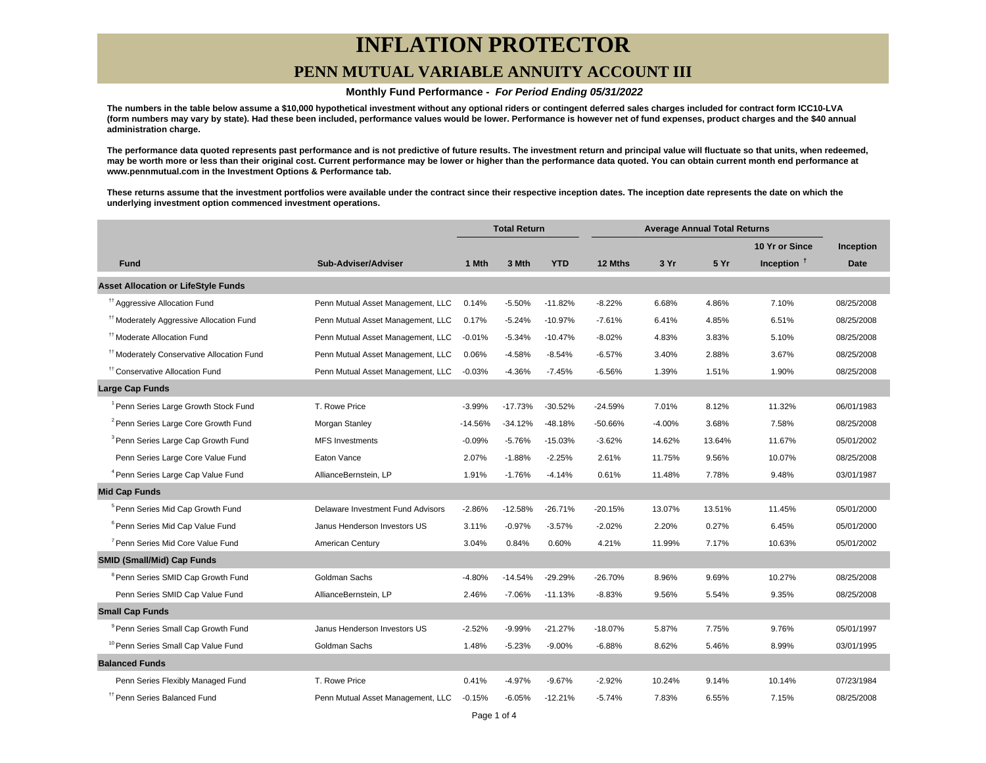# **INFLATION PROTECTOR**

## **PENN MUTUAL VARIABLE ANNUITY ACCOUNT III**

### **Monthly Fund Performance - For Period Ending 05/31/2022**

**The numbers in the table below assume a \$10,000 hypothetical investment without any optional riders or contingent deferred sales charges included for contract form ICC10-LVA (form numbers may vary by state). Had these been included, performance values would be lower. Performance is however net of fund expenses, product charges and the \$40 annual administration charge.**

**The performance data quoted represents past performance and is not predictive of future results. The investment return and principal value will fluctuate so that units, when redeemed, may be worth more or less than their original cost. Current performance may be lower or higher than the performance data quoted. You can obtain current month end performance at www.pennmutual.com in the Investment Options & Performance tab.**

**These returns assume that the investment portfolios were available under the contract since their respective inception dates. The inception date represents the date on which the underlying investment option commenced investment operations.**

|                                                       |                                   | <b>Total Return</b> |           | <b>Average Annual Total Returns</b> |           |          |        |                |             |
|-------------------------------------------------------|-----------------------------------|---------------------|-----------|-------------------------------------|-----------|----------|--------|----------------|-------------|
|                                                       |                                   |                     |           |                                     |           |          |        | 10 Yr or Since | Inception   |
| <b>Fund</b>                                           | Sub-Adviser/Adviser               | 1 Mth               | 3 Mth     | <b>YTD</b>                          | 12 Mths   | 3 Yr     | 5 Yr   | Inception $†$  | <b>Date</b> |
| <b>Asset Allocation or LifeStyle Funds</b>            |                                   |                     |           |                                     |           |          |        |                |             |
| <sup>11</sup> Aggressive Allocation Fund              | Penn Mutual Asset Management, LLC | 0.14%               | $-5.50%$  | $-11.82%$                           | $-8.22%$  | 6.68%    | 4.86%  | 7.10%          | 08/25/2008  |
| <sup>#†</sup> Moderately Aggressive Allocation Fund   | Penn Mutual Asset Management, LLC | 0.17%               | $-5.24%$  | $-10.97%$                           | $-7.61%$  | 6.41%    | 4.85%  | 6.51%          | 08/25/2008  |
| <sup>tt</sup> Moderate Allocation Fund                | Penn Mutual Asset Management, LLC | $-0.01%$            | $-5.34%$  | $-10.47%$                           | $-8.02%$  | 4.83%    | 3.83%  | 5.10%          | 08/25/2008  |
| <sup>11</sup> Moderately Conservative Allocation Fund | Penn Mutual Asset Management, LLC | 0.06%               | $-4.58%$  | $-8.54%$                            | $-6.57%$  | 3.40%    | 2.88%  | 3.67%          | 08/25/2008  |
| <sup>11</sup> Conservative Allocation Fund            | Penn Mutual Asset Management, LLC | $-0.03%$            | $-4.36%$  | $-7.45%$                            | $-6.56%$  | 1.39%    | 1.51%  | 1.90%          | 08/25/2008  |
| <b>Large Cap Funds</b>                                |                                   |                     |           |                                     |           |          |        |                |             |
| <sup>1</sup> Penn Series Large Growth Stock Fund      | T. Rowe Price                     | $-3.99%$            | $-17.73%$ | $-30.52%$                           | $-24.59%$ | 7.01%    | 8.12%  | 11.32%         | 06/01/1983  |
| <sup>2</sup> Penn Series Large Core Growth Fund       | Morgan Stanley                    | $-14.56%$           | $-34.12%$ | $-48.18%$                           | -50.66%   | $-4.00%$ | 3.68%  | 7.58%          | 08/25/2008  |
| <sup>3</sup> Penn Series Large Cap Growth Fund        | <b>MFS</b> Investments            | $-0.09%$            | $-5.76%$  | $-15.03%$                           | $-3.62%$  | 14.62%   | 13.64% | 11.67%         | 05/01/2002  |
| Penn Series Large Core Value Fund                     | Eaton Vance                       | 2.07%               | $-1.88%$  | $-2.25%$                            | 2.61%     | 11.75%   | 9.56%  | 10.07%         | 08/25/2008  |
| <sup>4</sup> Penn Series Large Cap Value Fund         | AllianceBernstein, LP             | 1.91%               | $-1.76%$  | $-4.14%$                            | 0.61%     | 11.48%   | 7.78%  | 9.48%          | 03/01/1987  |
| <b>Mid Cap Funds</b>                                  |                                   |                     |           |                                     |           |          |        |                |             |
| <sup>5</sup> Penn Series Mid Cap Growth Fund          | Delaware Investment Fund Advisors | $-2.86%$            | $-12.58%$ | $-26.71%$                           | $-20.15%$ | 13.07%   | 13.51% | 11.45%         | 05/01/2000  |
| <sup>6</sup> Penn Series Mid Cap Value Fund           | Janus Henderson Investors US      | 3.11%               | $-0.97%$  | $-3.57%$                            | $-2.02%$  | 2.20%    | 0.27%  | 6.45%          | 05/01/2000  |
| <sup>7</sup> Penn Series Mid Core Value Fund          | American Century                  | 3.04%               | 0.84%     | 0.60%                               | 4.21%     | 11.99%   | 7.17%  | 10.63%         | 05/01/2002  |
| <b>SMID (Small/Mid) Cap Funds</b>                     |                                   |                     |           |                                     |           |          |        |                |             |
| <sup>8</sup> Penn Series SMID Cap Growth Fund         | Goldman Sachs                     | $-4.80%$            | $-14.54%$ | $-29.29%$                           | $-26.70%$ | 8.96%    | 9.69%  | 10.27%         | 08/25/2008  |
| Penn Series SMID Cap Value Fund                       | AllianceBernstein, LP             | 2.46%               | $-7.06%$  | $-11.13%$                           | $-8.83%$  | 9.56%    | 5.54%  | 9.35%          | 08/25/2008  |
| <b>Small Cap Funds</b>                                |                                   |                     |           |                                     |           |          |        |                |             |
| <sup>9</sup> Penn Series Small Cap Growth Fund        | Janus Henderson Investors US      | $-2.52%$            | $-9.99%$  | $-21.27%$                           | -18.07%   | 5.87%    | 7.75%  | 9.76%          | 05/01/1997  |
| <sup>10</sup> Penn Series Small Cap Value Fund        | Goldman Sachs                     | 1.48%               | $-5.23%$  | $-9.00%$                            | $-6.88%$  | 8.62%    | 5.46%  | 8.99%          | 03/01/1995  |
| <b>Balanced Funds</b>                                 |                                   |                     |           |                                     |           |          |        |                |             |
| Penn Series Flexibly Managed Fund                     | T. Rowe Price                     | 0.41%               | $-4.97%$  | $-9.67%$                            | $-2.92%$  | 10.24%   | 9.14%  | 10.14%         | 07/23/1984  |
| <sup>17</sup> Penn Series Balanced Fund               | Penn Mutual Asset Management, LLC | $-0.15%$            | $-6.05%$  | $-12.21%$                           | $-5.74%$  | 7.83%    | 6.55%  | 7.15%          | 08/25/2008  |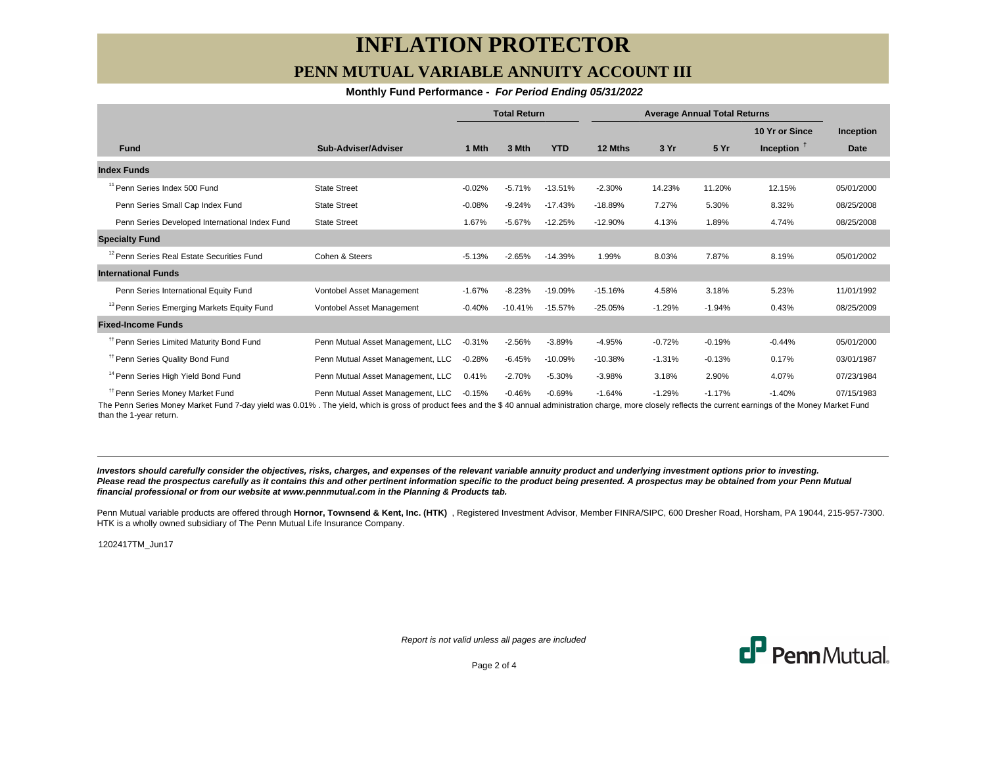# **INFLATION PROTECTOR PENN MUTUAL VARIABLE ANNUITY ACCOUNT III**

### **Monthly Fund Performance - For Period Ending 05/31/2022**

|                                                        |                                   | <b>Total Return</b> |           | <b>Average Annual Total Returns</b> |           |          |          |                |             |
|--------------------------------------------------------|-----------------------------------|---------------------|-----------|-------------------------------------|-----------|----------|----------|----------------|-------------|
|                                                        |                                   |                     |           |                                     |           |          |          | 10 Yr or Since | Inception   |
| <b>Fund</b>                                            | Sub-Adviser/Adviser               | 1 Mth               | 3 Mth     | <b>YTD</b>                          | 12 Mths   | 3 Yr     | 5 Yr     | Inception $T$  | <b>Date</b> |
| <b>Index Funds</b>                                     |                                   |                     |           |                                     |           |          |          |                |             |
| <sup>11</sup> Penn Series Index 500 Fund               | <b>State Street</b>               | $-0.02%$            | $-5.71%$  | $-13.51%$                           | $-2.30%$  | 14.23%   | 11.20%   | 12.15%         | 05/01/2000  |
| Penn Series Small Cap Index Fund                       | <b>State Street</b>               | $-0.08%$            | $-9.24%$  | $-17.43%$                           | $-18.89%$ | 7.27%    | 5.30%    | 8.32%          | 08/25/2008  |
| Penn Series Developed International Index Fund         | <b>State Street</b>               | 1.67%               | $-5.67%$  | $-12.25%$                           | $-12.90%$ | 4.13%    | 1.89%    | 4.74%          | 08/25/2008  |
| <b>Specialty Fund</b>                                  |                                   |                     |           |                                     |           |          |          |                |             |
| <sup>12</sup> Penn Series Real Estate Securities Fund  | Cohen & Steers                    | $-5.13%$            | $-2.65%$  | $-14.39%$                           | 1.99%     | 8.03%    | 7.87%    | 8.19%          | 05/01/2002  |
| <b>International Funds</b>                             |                                   |                     |           |                                     |           |          |          |                |             |
| Penn Series International Equity Fund                  | Vontobel Asset Management         | $-1.67%$            | $-8.23%$  | $-19.09%$                           | $-15.16%$ | 4.58%    | 3.18%    | 5.23%          | 11/01/1992  |
| <sup>13</sup> Penn Series Emerging Markets Equity Fund | Vontobel Asset Management         | $-0.40%$            | $-10.41%$ | $-15.57%$                           | $-25.05%$ | $-1.29%$ | $-1.94%$ | 0.43%          | 08/25/2009  |
| <b>Fixed-Income Funds</b>                              |                                   |                     |           |                                     |           |          |          |                |             |
| <sup>11</sup> Penn Series Limited Maturity Bond Fund   | Penn Mutual Asset Management, LLC | $-0.31%$            | $-2.56%$  | $-3.89%$                            | $-4.95%$  | $-0.72%$ | $-0.19%$ | $-0.44%$       | 05/01/2000  |
| <sup>11</sup> Penn Series Quality Bond Fund            | Penn Mutual Asset Management, LLC | $-0.28%$            | $-6.45%$  | $-10.09%$                           | $-10.38%$ | $-1.31%$ | $-0.13%$ | 0.17%          | 03/01/1987  |
| <sup>14</sup> Penn Series High Yield Bond Fund         | Penn Mutual Asset Management, LLC | 0.41%               | $-2.70%$  | $-5.30%$                            | $-3.98%$  | 3.18%    | 2.90%    | 4.07%          | 07/23/1984  |
| <sup>11</sup> Penn Series Money Market Fund            | Penn Mutual Asset Management, LLC | $-0.15%$            | $-0.46%$  | $-0.69%$                            | $-1.64%$  | $-1.29%$ | $-1.17%$ | $-1.40%$       | 07/15/1983  |

The Penn Series Money Market Fund 7-day yield was 0.01% . The yield, which is gross of product fees and the \$ 40 annual administration charge, more closely reflects the current earnings of the Money Market Fund than the 1-year return.

**Investors should carefully consider the objectives, risks, charges, and expenses of the relevant variable annuity product and underlying investment options prior to investing.** Please read the prospectus carefully as it contains this and other pertinent information specific to the product being presented. A prospectus may be obtained from your Penn Mutual **financial professional or from our website at www.pennmutual.com in the Planning & Products tab.**

Penn Mutual variable products are offered through Hornor, Townsend & Kent, Inc. (HTK), Registered Investment Advisor, Member FINRA/SIPC, 600 Dresher Road, Horsham, PA 19044, 215-957-7300. HTK is a wholly owned subsidiary of The Penn Mutual Life Insurance Company.

1202417TM\_Jun17

Report is not valid unless all pages are included



Page 2 of 4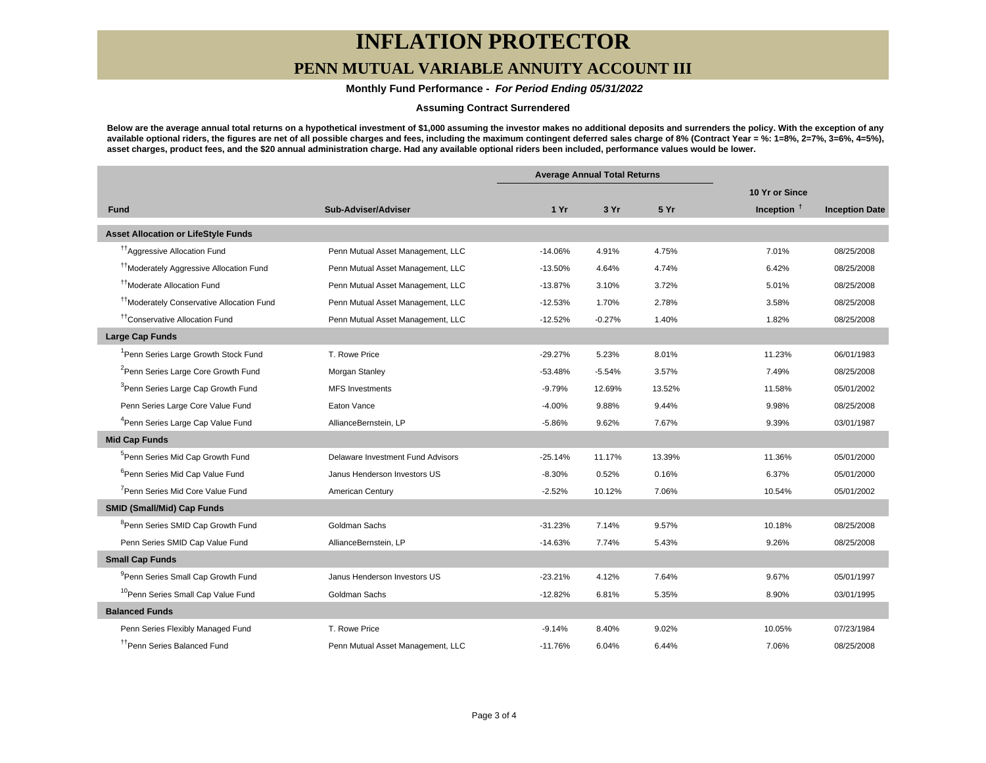# **INFLATION PROTECTOR**

## **PENN MUTUAL VARIABLE ANNUITY ACCOUNT III**

## **Monthly Fund Performance - For Period Ending 05/31/2022**

### **Assuming Contract Surrendered**

**Below are the average annual total returns on a hypothetical investment of \$1,000 assuming the investor makes no additional deposits and surrenders the policy. With the exception of any available optional riders, the figures are net of all possible charges and fees, including the maximum contingent deferred sales charge of 8% (Contract Year = %: 1=8%, 2=7%, 3=6%, 4=5%), asset charges, product fees, and the \$20 annual administration charge. Had any available optional riders been included, performance values would be lower.**

|                                                       |                                   | <b>Average Annual Total Returns</b> |          |        |                |                       |
|-------------------------------------------------------|-----------------------------------|-------------------------------------|----------|--------|----------------|-----------------------|
|                                                       |                                   |                                     |          |        | 10 Yr or Since |                       |
| <b>Fund</b>                                           | Sub-Adviser/Adviser               | 1Yr                                 | 3 Yr     | 5 Yr   | Inception $†$  | <b>Inception Date</b> |
| <b>Asset Allocation or LifeStyle Funds</b>            |                                   |                                     |          |        |                |                       |
| <sup>17</sup> Aggressive Allocation Fund              | Penn Mutual Asset Management, LLC | $-14.06%$                           | 4.91%    | 4.75%  | 7.01%          | 08/25/2008            |
| <sup>††</sup> Moderately Aggressive Allocation Fund   | Penn Mutual Asset Management, LLC | $-13.50%$                           | 4.64%    | 4.74%  | 6.42%          | 08/25/2008            |
| <sup>11</sup> Moderate Allocation Fund                | Penn Mutual Asset Management, LLC | $-13.87%$                           | 3.10%    | 3.72%  | 5.01%          | 08/25/2008            |
| <sup>11</sup> Moderately Conservative Allocation Fund | Penn Mutual Asset Management, LLC | $-12.53%$                           | 1.70%    | 2.78%  | 3.58%          | 08/25/2008            |
| <sup>tt</sup> Conservative Allocation Fund            | Penn Mutual Asset Management, LLC | $-12.52%$                           | $-0.27%$ | 1.40%  | 1.82%          | 08/25/2008            |
| <b>Large Cap Funds</b>                                |                                   |                                     |          |        |                |                       |
| <sup>1</sup> Penn Series Large Growth Stock Fund      | T. Rowe Price                     | $-29.27%$                           | 5.23%    | 8.01%  | 11.23%         | 06/01/1983            |
| <sup>2</sup> Penn Series Large Core Growth Fund       | Morgan Stanley                    | $-53.48%$                           | $-5.54%$ | 3.57%  | 7.49%          | 08/25/2008            |
| <sup>3</sup> Penn Series Large Cap Growth Fund        | <b>MFS Investments</b>            | $-9.79%$                            | 12.69%   | 13.52% | 11.58%         | 05/01/2002            |
| Penn Series Large Core Value Fund                     | Eaton Vance                       | $-4.00%$                            | 9.88%    | 9.44%  | 9.98%          | 08/25/2008            |
| <sup>4</sup> Penn Series Large Cap Value Fund         | AllianceBernstein, LP             | $-5.86%$                            | 9.62%    | 7.67%  | 9.39%          | 03/01/1987            |
| <b>Mid Cap Funds</b>                                  |                                   |                                     |          |        |                |                       |
| <sup>5</sup> Penn Series Mid Cap Growth Fund          | Delaware Investment Fund Advisors | $-25.14%$                           | 11.17%   | 13.39% | 11.36%         | 05/01/2000            |
| <sup>6</sup> Penn Series Mid Cap Value Fund           | Janus Henderson Investors US      | $-8.30%$                            | 0.52%    | 0.16%  | 6.37%          | 05/01/2000            |
| <sup>7</sup> Penn Series Mid Core Value Fund          | American Century                  | $-2.52%$                            | 10.12%   | 7.06%  | 10.54%         | 05/01/2002            |
| <b>SMID (Small/Mid) Cap Funds</b>                     |                                   |                                     |          |        |                |                       |
| <sup>8</sup> Penn Series SMID Cap Growth Fund         | Goldman Sachs                     | $-31.23%$                           | 7.14%    | 9.57%  | 10.18%         | 08/25/2008            |
| Penn Series SMID Cap Value Fund                       | AllianceBernstein, LP             | $-14.63%$                           | 7.74%    | 5.43%  | 9.26%          | 08/25/2008            |
| <b>Small Cap Funds</b>                                |                                   |                                     |          |        |                |                       |
| <sup>9</sup> Penn Series Small Cap Growth Fund        | Janus Henderson Investors US      | $-23.21%$                           | 4.12%    | 7.64%  | 9.67%          | 05/01/1997            |
| <sup>10</sup> Penn Series Small Cap Value Fund        | Goldman Sachs                     | $-12.82%$                           | 6.81%    | 5.35%  | 8.90%          | 03/01/1995            |
| <b>Balanced Funds</b>                                 |                                   |                                     |          |        |                |                       |
| Penn Series Flexibly Managed Fund                     | T. Rowe Price                     | $-9.14%$                            | 8.40%    | 9.02%  | 10.05%         | 07/23/1984            |
| <sup>11</sup> Penn Series Balanced Fund               | Penn Mutual Asset Management, LLC | $-11.76%$                           | 6.04%    | 6.44%  | 7.06%          | 08/25/2008            |